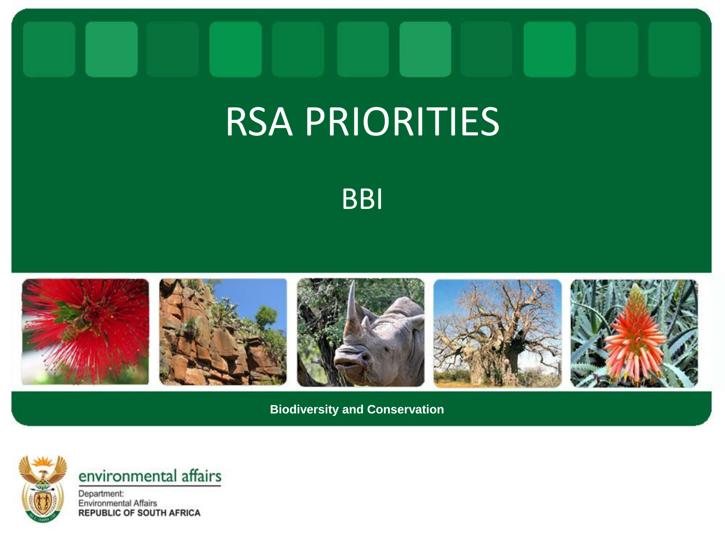## RSA PRIORITIES

**BBI** 



**Biodiversity and Conservation**



environmental affairs

Department: **Environmental Affairs REPUBLIC OF SOUTH AFRICA**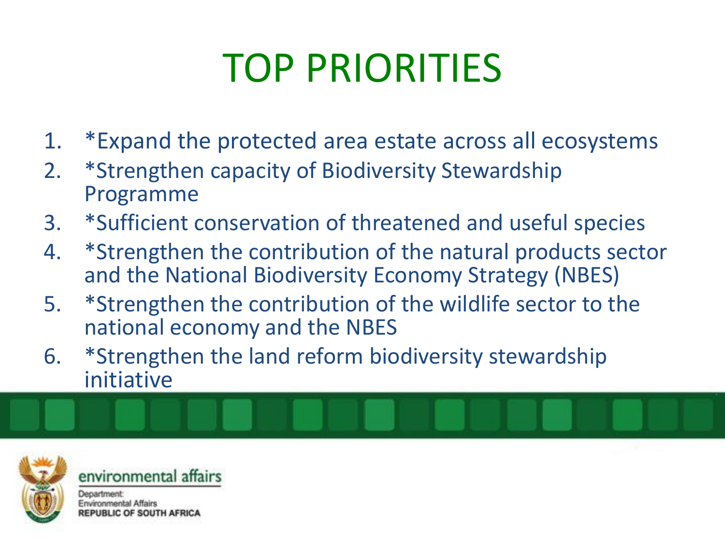## TOP PRIORITIES

- 1. \*Expand the protected area estate across all ecosystems
- 2. \*Strengthen capacity of Biodiversity Stewardship Programme
- 3. \*Sufficient conservation of threatened and useful species
- 4. \*Strengthen the contribution of the natural products sector and the National Biodiversity Economy Strategy (NBES)
- 5. \*Strengthen the contribution of the wildlife sector to the national economy and the NBES
- 6. \*Strengthen the land reform biodiversity stewardship initiative



environmental affairs Department: Environmental Affairs **JC OF SOUTH AFRICA**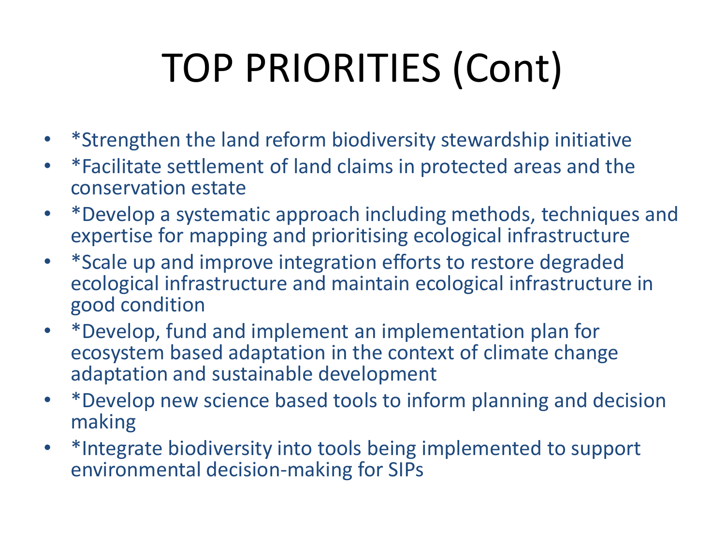## TOP PRIORITIES (Cont)

- \*Strengthen the land reform biodiversity stewardship initiative
- \*Facilitate settlement of land claims in protected areas and the conservation estate
- \*Develop a systematic approach including methods, techniques and expertise for mapping and prioritising ecological infrastructure
- \*Scale up and improve integration efforts to restore degraded ecological infrastructure and maintain ecological infrastructure in good condition
- \*Develop, fund and implement an implementation plan for ecosystem based adaptation in the context of climate change adaptation and sustainable development
- \*Develop new science based tools to inform planning and decision making
- \*Integrate biodiversity into tools being implemented to support environmental decision-making for SIPs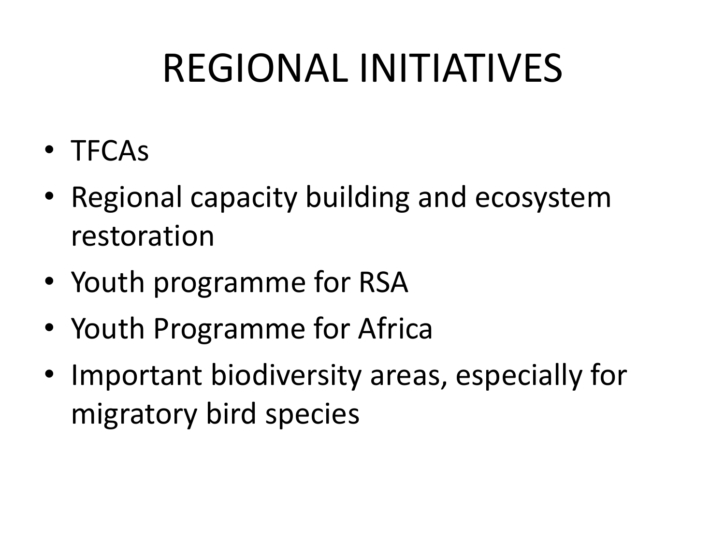## REGIONAL INITIATIVES

- TFCAs
- Regional capacity building and ecosystem restoration
- Youth programme for RSA
- Youth Programme for Africa
- Important biodiversity areas, especially for migratory bird species